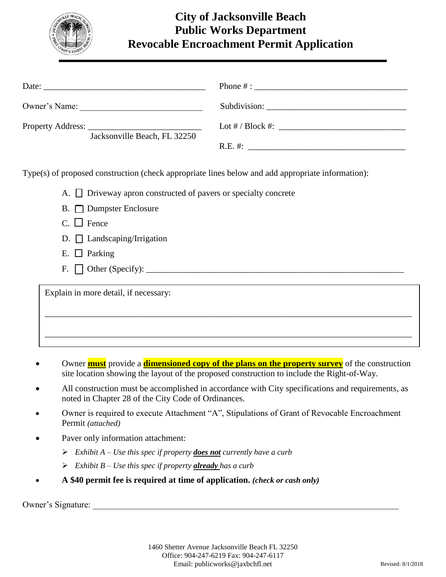

## **City of Jacksonville Beach Public Works Department Revocable Encroachment Permit Application**

| Owner's Name:                |  |
|------------------------------|--|
| Jacksonville Beach, FL 32250 |  |
|                              |  |

Type(s) of proposed construction (check appropriate lines below and add appropriate information):

A.  $\Box$  Driveway apron constructed of pavers or specialty concrete

- B. **Dumpster Enclosure**
- $C. \Box$  Fence
- D.  $\Box$  Landscaping/Irrigation
- E.  $\Box$  Parking
- F. Other (Specify): \_\_\_\_\_\_\_\_\_\_\_\_\_\_\_\_\_\_\_\_\_\_\_\_\_\_\_\_\_\_\_\_\_\_\_\_\_\_\_\_\_\_\_\_\_\_\_\_\_\_\_\_\_\_\_\_\_\_\_

Explain in more detail, if necessary:

 Owner **must** provide a **dimensioned copy of the plans on the property survey** of the construction site location showing the layout of the proposed construction to include the Right-of-Way.

\_\_\_\_\_\_\_\_\_\_\_\_\_\_\_\_\_\_\_\_\_\_\_\_\_\_\_\_\_\_\_\_\_\_\_\_\_\_\_\_\_\_\_\_\_\_\_\_\_\_\_\_\_\_\_\_\_\_\_\_\_\_\_\_\_\_\_\_\_\_\_\_\_\_\_\_\_\_\_\_\_\_\_\_

\_\_\_\_\_\_\_\_\_\_\_\_\_\_\_\_\_\_\_\_\_\_\_\_\_\_\_\_\_\_\_\_\_\_\_\_\_\_\_\_\_\_\_\_\_\_\_\_\_\_\_\_\_\_\_\_\_\_\_\_\_\_\_\_\_\_\_\_\_\_\_\_\_\_\_\_\_\_\_\_\_\_\_\_

- All construction must be accomplished in accordance with City specifications and requirements, as noted in Chapter 28 of the City Code of Ordinances.
- Owner is required to execute Attachment "A", Stipulations of Grant of Revocable Encroachment Permit *(attached)*
- Paver only information attachment:
	- *Exhibit A – Use this spec if property does not currently have a curb*
	- *Exhibit B – Use this spec if property already has a curb*
- **A \$40 permit fee is required at time of application.** *(check or cash only)*

Owner's Signature: